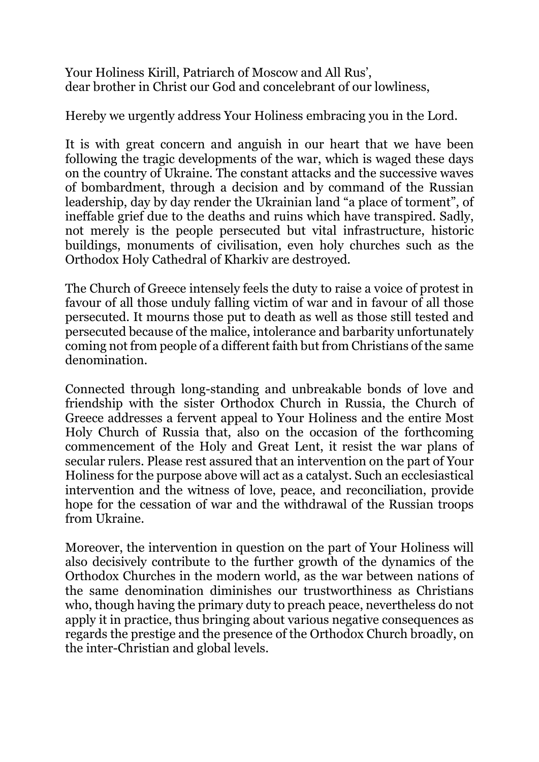Your Holiness Kirill, Patriarch of Moscow and All Rus', dear brother in Christ our God and concelebrant of our lowliness,

Hereby we urgently address Your Holiness embracing you in the Lord.

It is with great concern and anguish in our heart that we have been following the tragic developments of the war, which is waged these days on the country of Ukraine. The constant attacks and the successive waves of bombardment, through a decision and by command of the Russian leadership, day by day render the Ukrainian land "a place of torment", of ineffable grief due to the deaths and ruins which have transpired. Sadly, not merely is the people persecuted but vital infrastructure, historic buildings, monuments of civilisation, even holy churches such as the Orthodox Holy Cathedral of Kharkiv are destroyed.

The Church of Greece intensely feels the duty to raise a voice of protest in favour of all those unduly falling victim of war and in favour of all those persecuted. It mourns those put to death as well as those still tested and persecuted because of the malice, intolerance and barbarity unfortunately coming not from people of a different faith but from Christians of the same denomination.

Connected through long-standing and unbreakable bonds of love and friendship with the sister Orthodox Church in Russia, the Church of Greece addresses a fervent appeal to Your Holiness and the entire Most Holy Church of Russia that, also on the occasion of the forthcoming commencement of the Holy and Great Lent, it resist the war plans of secular rulers. Please rest assured that an intervention on the part of Your Holiness for the purpose above will act as a catalyst. Such an ecclesiastical intervention and the witness of love, peace, and reconciliation, provide hope for the cessation of war and the withdrawal of the Russian troops from Ukraine.

Moreover, the intervention in question on the part of Your Holiness will also decisively contribute to the further growth of the dynamics of the Orthodox Churches in the modern world, as the war between nations of the same denomination diminishes our trustworthiness as Christians who, though having the primary duty to preach peace, nevertheless do not apply it in practice, thus bringing about various negative consequences as regards the prestige and the presence of the Orthodox Church broadly, on the inter-Christian and global levels.